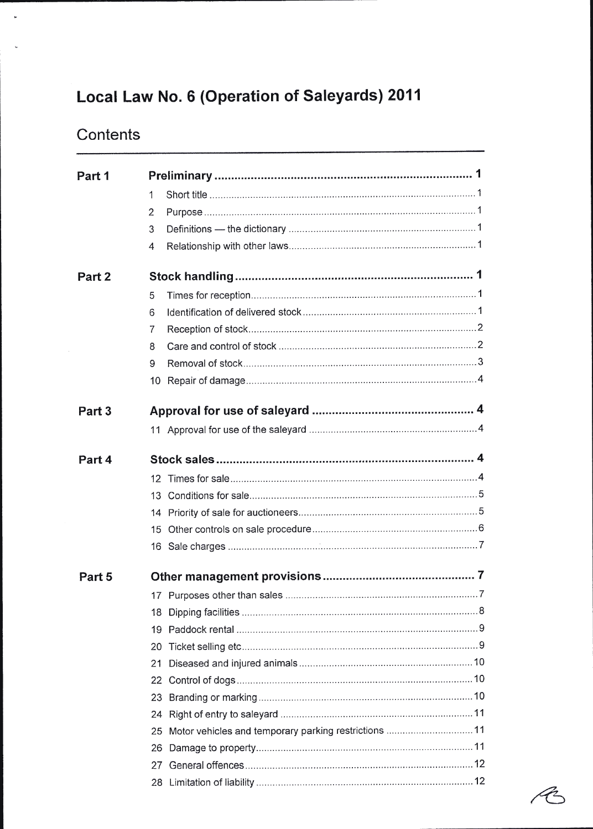## Local Law No. 6 (Operation of Saleyards) 2011

## **Contents**

 $\downarrow$ 

| Part 1            |                                                             |  |
|-------------------|-------------------------------------------------------------|--|
|                   | 1                                                           |  |
|                   | 2                                                           |  |
|                   | 3                                                           |  |
|                   | 4                                                           |  |
| Part 2            |                                                             |  |
|                   | 5                                                           |  |
|                   | 6                                                           |  |
|                   | $\overline{7}$                                              |  |
|                   | 8                                                           |  |
|                   | 9                                                           |  |
|                   | 10                                                          |  |
| Part <sub>3</sub> |                                                             |  |
|                   |                                                             |  |
| Part 4            |                                                             |  |
|                   | 12.                                                         |  |
|                   | 13.                                                         |  |
|                   |                                                             |  |
|                   |                                                             |  |
|                   |                                                             |  |
| Part 5            |                                                             |  |
|                   |                                                             |  |
|                   | 18                                                          |  |
|                   | 19                                                          |  |
|                   | 20                                                          |  |
|                   | 21                                                          |  |
|                   | 22                                                          |  |
|                   | 23.                                                         |  |
|                   | 24                                                          |  |
|                   | Motor vehicles and temporary parking restrictions  11<br>25 |  |
|                   | 26.                                                         |  |
|                   | 27                                                          |  |
|                   |                                                             |  |

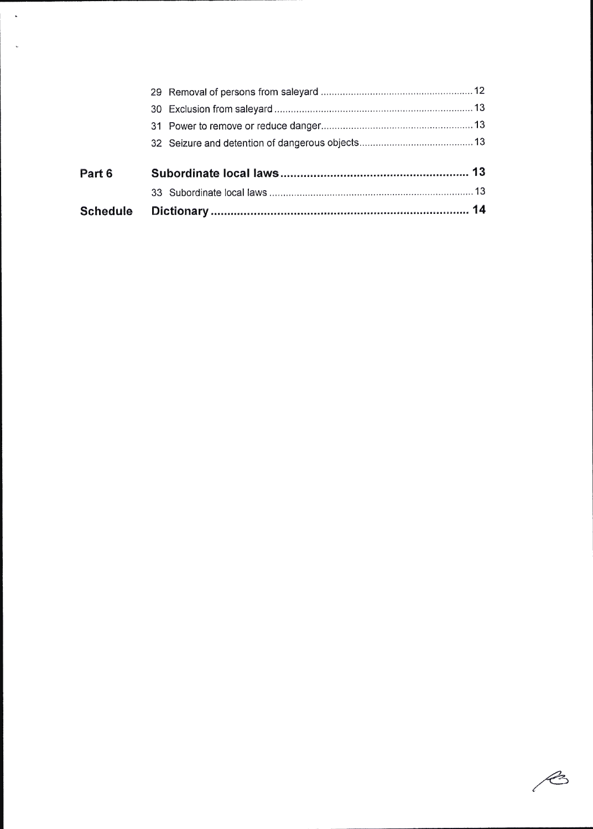| <b>Schedule</b> |  |
|-----------------|--|
|                 |  |
| Part 6          |  |
|                 |  |
|                 |  |
|                 |  |
|                 |  |

 $\ddot{\phantom{a}}$ 

 $\mathscr{E}$ l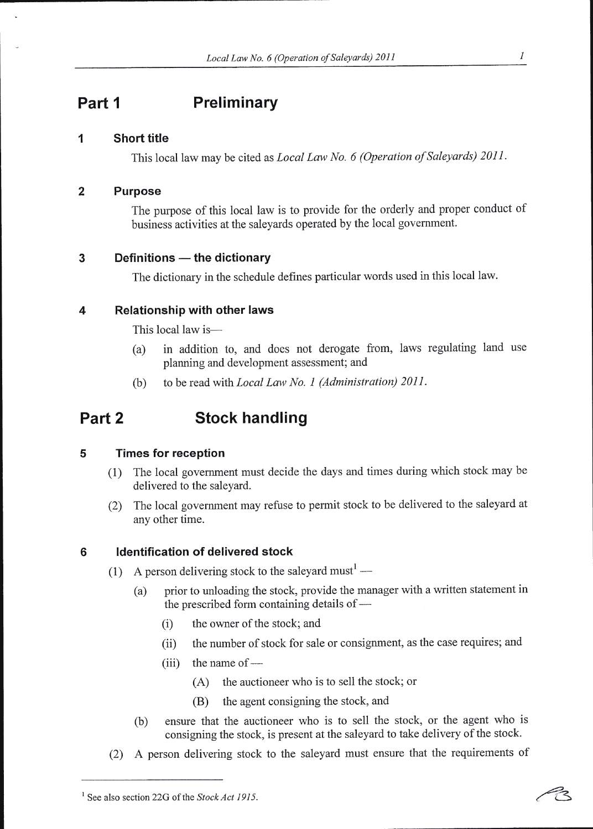## Part 1 Preliminary

#### I Short title

This local law may be cited as Local Law No. 6 (Operation of Saleyards) 2011.

#### 2 Purpose

The purpose of this local law is to provide for the orderly and proper conduct of business activities at the saleyards operated by the local government.

# 3 Definitions — the dictionary

The dictionary in the schedule defines particular words used in this local law.

#### 4 Relationship with other laws

This local law is-

- (a) in addition to, and does not derogate from, laws regulating land use planning and development assessment; and
- (b) to be read with Local Law No. I (Administration) 2011.

## Part 2 Stock handling

#### 5 Times for reception

- (1) The local government must decide the days and times during which stock may be delivered to the saleyard.
- (2) The local government may refuse to permit stock to be delivered to the saleyard at any other time.

### 6 ldentification of delivered stock

- (1) A person delivering stock to the saleyard must<sup>1</sup> -
	- (a) prior to unloading the stock, provide the manager with a written statement in the prescribed form containing details of -
		- (i) the owner of the stock; and
		- (ii) the number of stock for sale or consignment, as the case requires; and
		- $(iii)$  the name of -
			- (A) the auctioneer who is to sell the stock; or
			- (B) the agent consigning the stock, and
	- (b) ensure that the auctioneer who is to sell the stock, or the agent who is consigning the stock, is present at the saleyard to take delivery of the stock.
- (2) A person delivering stock to the saleyard must ensure that the requirements of

<sup>&</sup>lt;sup>1</sup> See also section 22G of the *Stock Act 1915*.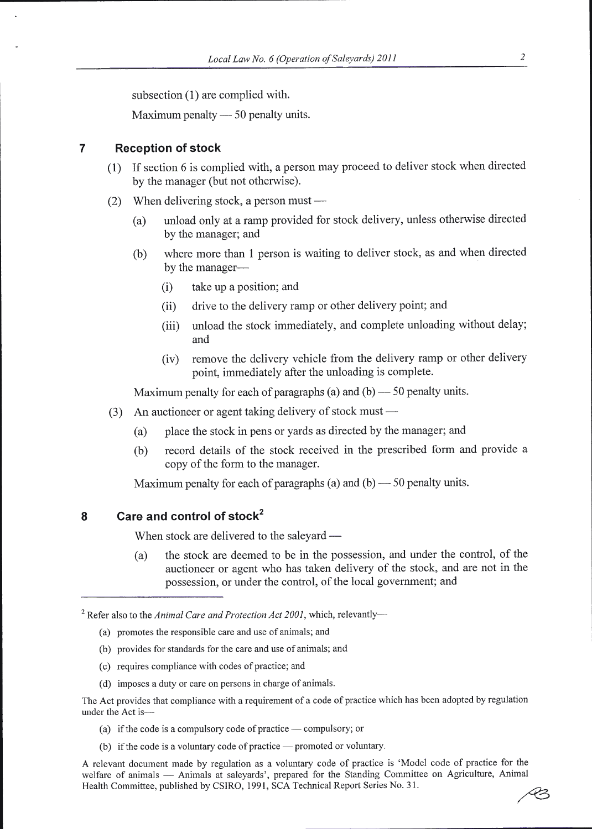subsection (1) are complied with.

Maximum penalty — 50 penalty units.<br>

#### 7 Reception of stock

- (l) If section 6 is complied with, a person may proceed to deliver stock when directed by the manager (but not otherwise).
- (2) When delivering stock, a person must -
	- (a) unload only at a ramp provided for stock delivery, unless otherwise directed by the manager; and
	- (b) where more than 1 person is waiting to deliver stock, as and when directed by the manager-
		- $(i)$  take up a position; and
		- (ii) drive to the delivery ramp or other delivery point; and
		- (iii) unload the stock immediately, and complete unloading without delay; and
		- (iv) remove the delivery vehicle from the delivery ramp or other delivery point, immediately after the unloading is complete.

Maximum penalty for each of paragraphs (a) and (b) 50 penalty units. --<br>.

- (3) An auctioneer or agent taking delivery of stock must -
	- (a) place the stock in pens or yards as directed by the manager; and
	- (b) record details of the stock received in the prescribed form and provide <sup>a</sup> copy of the form to the manager.

Maximum penalty for each of paragraphs (a) and (b) —  $50$  penalty units.

#### 8 Care and control of stock<sup>2</sup>

When stock are delivered to the saleyard –

(a) the stock are deemed to be in the possession, and under the control, of the auctioneer or agent who has taken delivery of the stock, and are not in the possession, or under the control, of the local govemment; and

<sup>2</sup> Refer also to the Animal Care and Protection Act 2001, which, relevantly-

- (a) promotes the responsible care and use of animals; and
- (b) provides for standards for the care and use of animals; and
- (c) requires compliance with codes of practice; and
- (d) imposes a duty or care on persons in charge of animals.

The Act provides that compliance with a requirement of a code of practice which has been adopted by regulation under the Act is-

- (a) if the code is a compulsory code of practice compulsory; or
- (b) if the code is a voluntary code of practice promoted or voluntary.

A relevant document made by regulation as a voluntary code of practice is 'Model code of practice for the welfare of animals — Animals at saleyards', prepared for the Standing Committee on Agriculture, Animal wertare of animals — Animals at safeyards, prepared for the Standing Committee, published by CSIRO, 1991, SCA Technical Report Series No. 31.  $\mathcal{A}$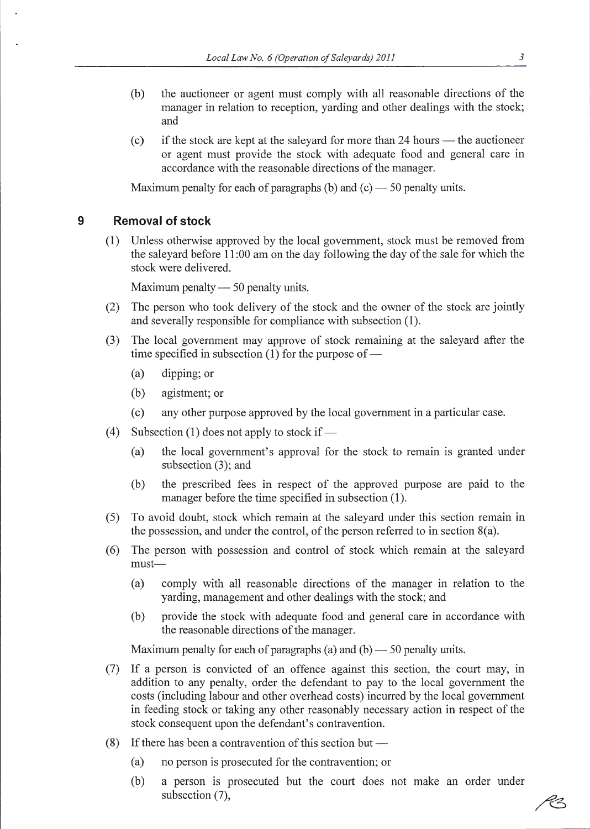- (b) the auctioneer or agent must comply with all reasonable directions of the manager in relation to reception, yarding and other dealings with the stock; and
- (c) if the stock are kept at the saleyard for more than 24 hours the auctioneer If the stock are kept at the safe and for more than 24 hours – the auchoneer<br>or agent must provide the stock with adequate food and general care in accordance with the reasonable directions of the manager.

Maximum penalty for each of paragraphs (b) and  $(c)$  — 50 penalty units.

#### 9 Removal of stock

(l) Unless otherwise approved by the local govemment, stock must be removed from the saleyard before 1 1:00 am on the day following the day of the sale for which the stock were delivered.

Maximum penalty  $- 50$  penalty units.

- (2) The person who took delivery of the stock and the owner of the stock are jointly and severally responsible for compliance with subsection (1).
- (3) The local government may approve of stock remaining at the saleyard after the time specified in subsection (1) for the purpose of  $-$ 
	- (a) dipping; or
	- (b) agistment; or
	- (c) any other purpose approved by the local government in a particular case.
- (4) Subsection (1) does not apply to stock if -
	- (a) the local government's approval for the stock to remain is granted under subsection (3); and
	- the prescribed fees in respect of the approved purpose are paid to the manager before the time specified in subsection (1). (b)
- (5) To avoid doubt, stock which remain at the saleyard under this section remain in the possession, and under the control, of the person referred to in section  $8(a)$ .
- (6) The person with possession and control of stock which remain at the saleyard must
	- comply with all reasonable directions of the manager in relation to the yarding, management and other dealings with the stock; and (a)
	- provide the stock with adequate food and general care in accordance with the reasonable directions of the manaser. (b)

Maximum penalty for each of paragraphs (a) and (b) — 50 penalty units.

- (7) If a person is convicted of an offence against this section, the court may, in addition to any penalty, order the defendant to pay to the local government the costs (including labour and other overhead costs) incurred by the local government in feeding stock or taking any other reasonably necessary action in respect of the stock consequent upon the defendant's contravention.
- (8) If there has been a contravention of this section but -
	- (a) no person is prosecuted for the contravention; or
	- (b) a person is prosecuted but the court does not make an order under subsection (7),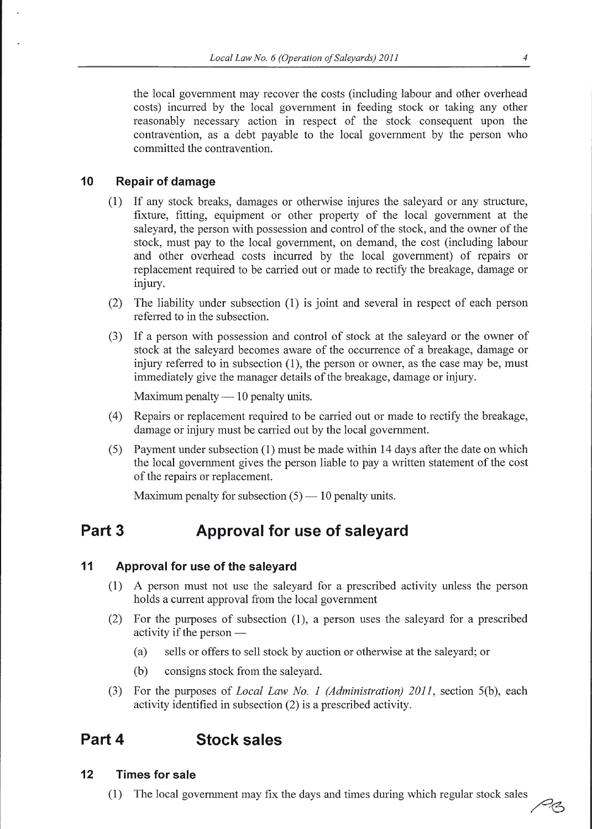the local government may recover the costs (including labour and other overhead costs) incurred by the local government in feeding stock or taking any other reasonably necessary action in respect of the stock consequent upon the contravention, as a debt payable to the local government by the person who committed the contravention.

#### 10 Repair of damage

- (1) If any stock breaks, damages or otherwise injures the saleyard or any structure, fixture, fitting, equipment or other property of the local government at the saleyard, the person with possession and control of the stock, and the owner of the stock, must pay to the local government, on demand, the cost (including labour and other overhead costs incuned by the local government) of repairs or replacement required to be carried out or made to rectify the breakage, damage or injury.
- (2) The liability under subsection (1) is joint and several in respect of each person referred to in the subsection.
- (3) If a person with possession and control of stock at the saleyard or the owner of stock at the saleyard becomes aware of the occurrence of a breakage, damage or injury referred to in subsection (1), the person or owner, as the case may be, must immediately give the manager details of the breakage, damage or injury.

Maximum penalty — 10 penalty units.<br>

- (4) Repairs or replacement required to be carried out or made to rectiff the breakage, damage or injury must be carried out by the local government.
- (5) Payment under subsection (1) must be made within 14 days after the date on which the local govemment gives the person liable to pay a written statement of the cost of the repairs or replacement.

Maximum penalty for subsection  $(5)$  — 10 penalty units.

## Part 3 **Approval for use of saleyard**

#### 11 Approval for use of the saleyard

- (1) A person must not use the saleyard for a prescribed activity unless the person holds a current approval from the local govemment
- (2) For the purposes of subsection (1), a person uses the saleyard for a prescribed activity if the person -
	- (a) sells or offers to sell stock by auction or otherwise at the saleyard; or
	- (b) consigns stock from the saleyard.
- (3) For the purposes of Local Law No. I (Administration) 2011, section 5(b), each activity identified in subsection (2) is a prescribed activity.

## Part 4 Stock sales

#### 12 Times for sale

(1) The local government may fix the days and times during which regular stock sales